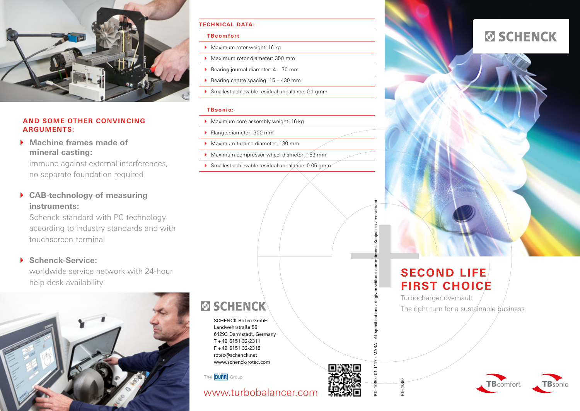

### **AND SOME OTHER CONVINCING ARGUMENTS:**

} **Machine frames made of mineral casting:** 

immune against external interferences, no separate foundation required

} **CAB-technology of measuring instruments:** 

Schenck-standard with PC-technology according to industry standards and with touchscreen-terminal

## } **Schenck-Service:**

worldwide service network with 24-hour help-desk availability



#### **TECHNICAL DATA:**

#### **TBcomfort**

- ▶ Maximum rotor weight: 16 kg
- ▶ Maximum rotor diameter: 350 mm
- Bearing journal diameter:  $4 70$  mm
- Bearing centre spacing:  $15 430$  mm
- $\blacktriangleright$  Smallest achievable residual unbalance: 0.1 gmm

#### **TBsonio:**

- ▶ Maximum core assembly weight: 16 kg
- Flange diameter: 300 mm

SCHENCK RoTec GmbHLandwehrstraße 5564293 Darmstadt, Germany T +49 6151 32-2311F +49 6151 32-2315rotec@schenck.net www.schenck-rotec.com

**ØSCHENCK** 

The **DURR** Group

www.turbobalancer.com

- } Maximum turbine diameter: 130 mm
- Maximum compressor wheel diameter:  $\lambda$ 53 mm
- $\blacktriangleright$  Smallest achievable residual unbalance: 0.05 gmm



# **SECOND LIFEFIRST CHOICE**

Turbocharger overhaul: The right turn for a sustainable business



RTe 1080 $\frac{1}{2}$ 





RTe 1080 · 01.1117 · MARA · All specifications are given without commitment. Subject to amendment.  $\overline{r}$ 

subie نيه

n without comm